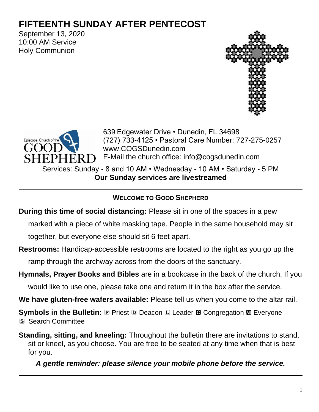# **FIFTEENTH SUNDAY AFTER PENTECOST**

September 13, 2020 10:00 AM Service Holy Communion





639 Edgewater Drive • Dunedin, FL 34698 (727) 733-4125 • Pastoral Care Number: 727-275-0257 www.COGSDunedin.com E-Mail the church office: info@cogsdunedin.com

Services: Sunday - 8 and 10 AM • Wednesday - 10 AM • Saturday - 5 PM **Our Sunday services are livestreamed**

## **WELCOME TO GOOD SHEPHERD**

**During this time of social distancing:** Please sit in one of the spaces in a pew

marked with a piece of white masking tape. People in the same household may sit

together, but everyone else should sit 6 feet apart.

**Restrooms:** Handicap-accessible restrooms are located to the right as you go up the ramp through the archway across from the doors of the sanctuary.

**Hymnals, Prayer Books and Bibles** are in a bookcase in the back of the church. If you

would like to use one, please take one and return it in the box after the service.

**We have gluten-free wafers available:** Please tell us when you come to the altar rail.

**Symbols in the Bulletin: P** Priest **D** Deacon **L** Leader **G** Congregation **M** Everyone S Search Committee

**Standing, sitting, and kneeling:** Throughout the bulletin there are invitations to stand, sit or kneel, as you choose. You are free to be seated at any time when that is best for you.

## *A gentle reminder: please silence your mobile phone before the service.*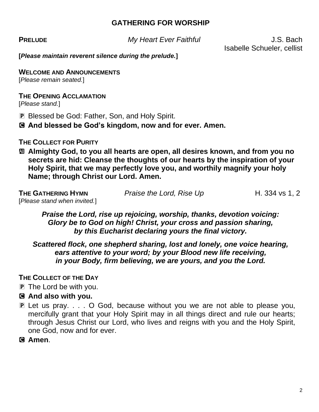#### **GATHERING FOR WORSHIP**

**PRELUDE** *My Heart Ever Faithful* **J.S. Bach** Isabelle Schueler, cellist

**[***Please maintain reverent silence during the prelude.***]**

**WELCOME AND ANNOUNCEMENTS** [*Please remain seated.*]

**THE OPENING ACCLAMATION** [*Please stand.*]

P Blessed be God: Father, Son, and Holy Spirit.

C **And blessed be God's kingdom, now and for ever. Amen.**

**THE COLLECT FOR PURITY**

a **Almighty God, to you all hearts are open, all desires known, and from you no secrets are hid: Cleanse the thoughts of our hearts by the inspiration of your Holy Spirit, that we may perfectly love you, and worthily magnify your holy Name; through Christ our Lord. Amen.**

| THE GATHERING HYMN           | Praise the Lord, Rise Up | H. 334 vs 1, 2 |
|------------------------------|--------------------------|----------------|
| [Please stand when invited.] |                          |                |

*Praise the Lord, rise up rejoicing, worship, thanks, devotion voicing: Glory be to God on high! Christ, your cross and passion sharing, by this Eucharist declaring yours the final victory.* 

*Scattered flock, one shepherd sharing, lost and lonely, one voice hearing, ears attentive to your word; by your Blood new life receiving, in your Body, firm believing, we are yours, and you the Lord.* 

**THE COLLECT OF THE DAY**

P The Lord be with you.

- C **And also with you.**
- P Let us pray. . . . O God, because without you we are not able to please you, mercifully grant that your Holy Spirit may in all things direct and rule our hearts; through Jesus Christ our Lord, who lives and reigns with you and the Holy Spirit, one God, now and for ever.

C **Amen**.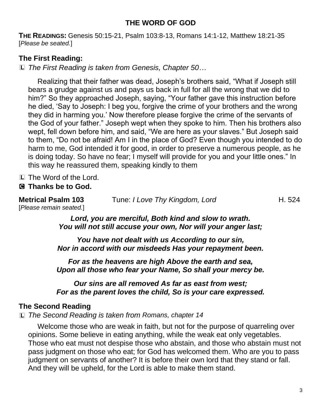# **THE WORD OF GOD**

**THE READINGS:** Genesis 50:15-21, Psalm 103:8-13, Romans 14:1-12, Matthew 18:21-35 [*Please be seated.*]

## **The First Reading:**

L *The First Reading is taken from Genesis, Chapter 50…*

Realizing that their father was dead, Joseph's brothers said, "What if Joseph still bears a grudge against us and pays us back in full for all the wrong that we did to him?" So they approached Joseph, saying, "Your father gave this instruction before he died, 'Say to Joseph: I beg you, forgive the crime of your brothers and the wrong they did in harming you.' Now therefore please forgive the crime of the servants of the God of your father." Joseph wept when they spoke to him. Then his brothers also wept, fell down before him, and said, "We are here as your slaves." But Joseph said to them, "Do not be afraid! Am I in the place of God? Even though you intended to do harm to me, God intended it for good, in order to preserve a numerous people, as he is doing today. So have no fear; I myself will provide for you and your little ones." In this way he reassured them, speaking kindly to them

L The Word of the Lord.

C **Thanks be to God.**

**Metrical Psalm 103** Tune: *I Love Thy Kingdom, Lord* H. 524 [*Please remain seated.*]

*Lord, you are merciful, Both kind and slow to wrath. You will not still accuse your own, Nor will your anger last;*

*You have not dealt with us According to our sin, Nor in accord with our misdeeds Has your repayment been.*

*For as the heavens are high Above the earth and sea, Upon all those who fear your Name, So shall your mercy be.*

*Our sins are all removed As far as east from west; For as the parent loves the child, So is your care expressed.*

#### **The Second Reading**

L *The Second Reading is taken from Romans, chapter 14*

Welcome those who are weak in faith, but not for the purpose of quarreling over opinions. Some believe in eating anything, while the weak eat only vegetables. Those who eat must not despise those who abstain, and those who abstain must not pass judgment on those who eat; for God has welcomed them. Who are you to pass judgment on servants of another? It is before their own lord that they stand or fall. And they will be upheld, for the Lord is able to make them stand.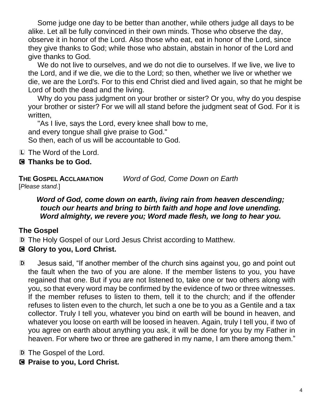Some judge one day to be better than another, while others judge all days to be alike. Let all be fully convinced in their own minds. Those who observe the day, observe it in honor of the Lord. Also those who eat, eat in honor of the Lord, since they give thanks to God; while those who abstain, abstain in honor of the Lord and give thanks to God.

We do not live to ourselves, and we do not die to ourselves. If we live, we live to the Lord, and if we die, we die to the Lord; so then, whether we live or whether we die, we are the Lord's. For to this end Christ died and lived again, so that he might be Lord of both the dead and the living.

Why do you pass judgment on your brother or sister? Or you, why do you despise your brother or sister? For we will all stand before the judgment seat of God. For it is written,

"As I live, says the Lord, every knee shall bow to me, and every tongue shall give praise to God." So then, each of us will be accountable to God.

L The Word of the Lord.

## C **Thanks be to God.**

**THE GOSPEL ACCLAMATION** *Word of God, Come Down on Earth* [*Please stand.*]

#### *Word of God, come down on earth, living rain from heaven descending; touch our hearts and bring to birth faith and hope and love unending. Word almighty, we revere you; Word made flesh, we long to hear you.*

## **The Gospel**

D The Holy Gospel of our Lord Jesus Christ according to Matthew.

- C **Glory to you, Lord Christ.**
- D Jesus said, "If another member of the church sins against you, go and point out the fault when the two of you are alone. If the member listens to you, you have regained that one. But if you are not listened to, take one or two others along with you, so that every word may be confirmed by the evidence of two or three witnesses. If the member refuses to listen to them, tell it to the church; and if the offender refuses to listen even to the church, let such a one be to you as a Gentile and a tax collector. Truly I tell you, whatever you bind on earth will be bound in heaven, and whatever you loose on earth will be loosed in heaven. Again, truly I tell you, if two of you agree on earth about anything you ask, it will be done for you by my Father in heaven. For where two or three are gathered in my name, I am there among them."
- D The Gospel of the Lord.
- C **Praise to you, Lord Christ.**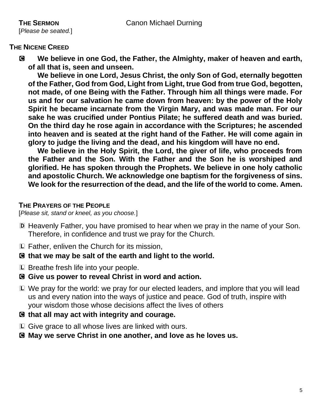[*Please be seated.*]

## **THE NICENE CREED**

C **We believe in one God, the Father, the Almighty, maker of heaven and earth, of all that is, seen and unseen.** 

**We believe in one Lord, Jesus Christ, the only Son of God, eternally begotten of the Father, God from God, Light from Light, true God from true God, begotten, not made, of one Being with the Father. Through him all things were made. For us and for our salvation he came down from heaven: by the power of the Holy Spirit he became incarnate from the Virgin Mary, and was made man. For our sake he was crucified under Pontius Pilate; he suffered death and was buried. On the third day he rose again in accordance with the Scriptures; he ascended into heaven and is seated at the right hand of the Father. He will come again in glory to judge the living and the dead, and his kingdom will have no end.**

**We believe in the Holy Spirit, the Lord, the giver of life, who proceeds from the Father and the Son. With the Father and the Son he is worshiped and glorified. He has spoken through the Prophets. We believe in one holy catholic and apostolic Church. We acknowledge one baptism for the forgiveness of sins. We look for the resurrection of the dead, and the life of the world to come. Amen.**

#### **THE PRAYERS OF THE PEOPLE**

[*Please sit, stand or kneel, as you choose.*]

- D Heavenly Father, you have promised to hear when we pray in the name of your Son. Therefore, in confidence and trust we pray for the Church.
- L Father, enliven the Church for its mission,
- C **that we may be salt of the earth and light to the world.**
- L Breathe fresh life into your people.
- C **Give us power to reveal Christ in word and action.**
- L We pray for the world: we pray for our elected leaders, and implore that you will lead us and every nation into the ways of justice and peace. God of truth, inspire with your wisdom those whose decisions affect the lives of others
- C **that all may act with integrity and courage.**
- L Give grace to all whose lives are linked with ours.
- C **May we serve Christ in one another, and love as he loves us.**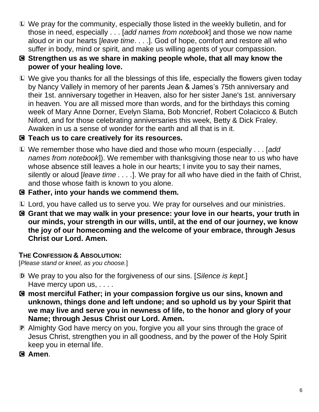- L We pray for the community, especially those listed in the weekly bulletin, and for those in need, especially . . . [*add names from notebook*] and those we now name aloud or in our hearts [*leave time*. . . .]. God of hope, comfort and restore all who suffer in body, mind or spirit, and make us willing agents of your compassion.
- C **Strengthen us as we share in making people whole, that all may know the power of your healing love.**
- L We give you thanks for all the blessings of this life, especially the flowers given today by Nancy Vallely in memory of her parents Jean & James's 75th anniversary and their 1st. anniversary together in Heaven, also for her sister Jane's 1st. anniversary in heaven. You are all missed more than words, and for the birthdays this coming week of Mary Anne Dorner, Evelyn Slama, Bob Moncrief, Robert Colacicco & Butch Niford, and for those celebrating anniversaries this week, Betty & Dick Fraley. Awaken in us a sense of wonder for the earth and all that is in it.

# C **Teach us to care creatively for its resources.**

- L We remember those who have died and those who mourn (especially . . . [*add names from notebook*]). We remember with thanksgiving those near to us who have whose absence still leaves a hole in our hearts; I invite you to say their names, silently or aloud [*leave time . . . .*]. We pray for all who have died in the faith of Christ, and those whose faith is known to you alone.
- C **Father, into your hands we commend them.**
- L Lord, you have called us to serve you. We pray for ourselves and our ministries.
- C **Grant that we may walk in your presence: your love in our hearts, your truth in our minds, your strength in our wills, until, at the end of our journey, we know the joy of our homecoming and the welcome of your embrace, through Jesus Christ our Lord. Amen.**

## **THE CONFESSION & ABSOLUTION:**

[*Please stand or kneel, as you choose.*]

- D We pray to you also for the forgiveness of our sins. [*Silence is kept.*] Have mercy upon us, . . . .
- C **most merciful Father; in your compassion forgive us our sins, known and unknown, things done and left undone; and so uphold us by your Spirit that we may live and serve you in newness of life, to the honor and glory of your Name; through Jesus Christ our Lord. Amen.**
- P Almighty God have mercy on you, forgive you all your sins through the grace of Jesus Christ, strengthen you in all goodness, and by the power of the Holy Spirit keep you in eternal life.
- C **Amen**.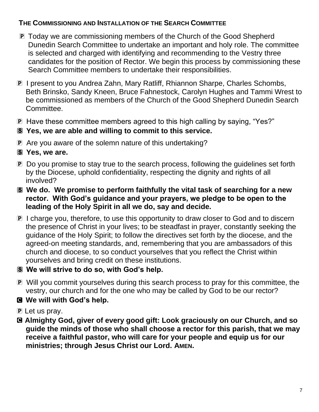# **THE COMMISSIONING AND INSTALLATION OF THE SEARCH COMMITTEE**

- P Today we are commissioning members of the Church of the Good Shepherd Dunedin Search Committee to undertake an important and holy role. The committee is selected and charged with identifying and recommending to the Vestry three candidates for the position of Rector. We begin this process by commissioning these Search Committee members to undertake their responsibilities.
- P I present to you Andrea Zahn, Mary Ratliff, Rhiannon Sharpe, Charles Schombs, Beth Brinsko, Sandy Kneen, Bruce Fahnestock, Carolyn Hughes and Tammi Wrest to be commissioned as members of the Church of the Good Shepherd Dunedin Search Committee.
- P Have these committee members agreed to this high calling by saying, "Yes?"

# S **Yes, we are able and willing to commit to this service.**

- P Are you aware of the solemn nature of this undertaking?
- S **Yes, we are.**
- P Do you promise to stay true to the search process, following the guidelines set forth by the Diocese, uphold confidentiality, respecting the dignity and rights of all involved?
- S **We do. We promise to perform faithfully the vital task of searching for a new rector. With God's guidance and your prayers, we pledge to be open to the leading of the Holy Spirit in all we do, say and decide.**
- P I charge you, therefore, to use this opportunity to draw closer to God and to discern the presence of Christ in your lives; to be steadfast in prayer, constantly seeking the guidance of the Holy Spirit; to follow the directives set forth by the diocese, and the agreed-on meeting standards, and, remembering that you are ambassadors of this church and diocese, to so conduct yourselves that you reflect the Christ within yourselves and bring credit on these institutions.
- S **We will strive to do so, with God's help.**
- P Will you commit yourselves during this search process to pray for this committee, the vestry, our church and for the one who may be called by God to be our rector?
- C **We will with God's help.**
- **P** Let us pray.
- C **Almighty God, giver of every good gift: Look graciously on our Church, and so guide the minds of those who shall choose a rector for this parish, that we may receive a faithful pastor, who will care for your people and equip us for our ministries; through Jesus Christ our Lord. AMEN.**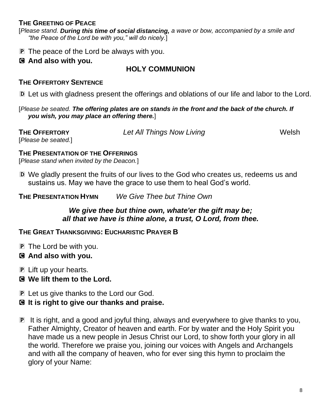#### **THE GREETING OF PEACE**

[*Please stand. During this time of social distancing, a wave or bow, accompanied by a smile and "the Peace of the Lord be with you," will do nicely.*]

- P The peace of the Lord be always with you.
- C **And also with you.**

# **HOLY COMMUNION**

#### **THE OFFERTORY SENTENCE**

D Let us with gladness present the offerings and oblations of our life and labor to the Lord.

[*Please be seated. The offering plates are on stands in the front and the back of the church. If you wish, you may place an offering there.*]

| <b>THE OFFERTORY</b> | Let All Things Now Living | Welsh |
|----------------------|---------------------------|-------|
| [Please be seated.]  |                           |       |

#### **THE PRESENTATION OF THE OFFERINGS**

[*Please stand when invited by the Deacon.*]

D We gladly present the fruits of our lives to the God who creates us, redeems us and sustains us. May we have the grace to use them to heal God's world.

**THE PRESENTATION HYMN** *We Give Thee but Thine Own*

#### *We give thee but thine own, whate'er the gift may be; all that we have is thine alone, a trust, O Lord, from thee.*

#### **THE GREAT THANKSGIVING: EUCHARISTIC PRAYER B**

- P The Lord be with you.
- C **And also with you.**
- P Lift up your hearts.
- C **We lift them to the Lord.**
- P Let us give thanks to the Lord our God.
- C **It is right to give our thanks and praise.**
- P It is right, and a good and joyful thing, always and everywhere to give thanks to you, Father Almighty, Creator of heaven and earth. For by water and the Holy Spirit you have made us a new people in Jesus Christ our Lord, to show forth your glory in all the world. Therefore we praise you, joining our voices with Angels and Archangels and with all the company of heaven, who for ever sing this hymn to proclaim the glory of your Name: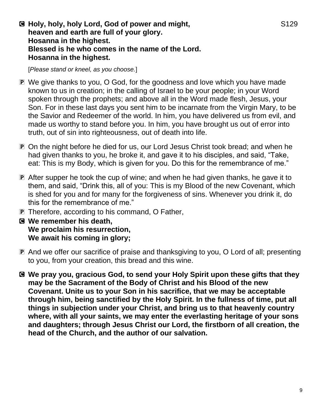**G** Holy, holy, holy Lord, God of power and might, S129 **heaven and earth are full of your glory. Hosanna in the highest. Blessed is he who comes in the name of the Lord. Hosanna in the highest.** 

[*Please stand or kneel, as you choose.*]

- P We give thanks to you, O God, for the goodness and love which you have made known to us in creation; in the calling of Israel to be your people; in your Word spoken through the prophets; and above all in the Word made flesh, Jesus, your Son. For in these last days you sent him to be incarnate from the Virgin Mary, to be the Savior and Redeemer of the world. In him, you have delivered us from evil, and made us worthy to stand before you. In him, you have brought us out of error into truth, out of sin into righteousness, out of death into life.
- P On the night before he died for us, our Lord Jesus Christ took bread; and when he had given thanks to you, he broke it, and gave it to his disciples, and said, "Take, eat: This is my Body, which is given for you. Do this for the remembrance of me."
- P After supper he took the cup of wine; and when he had given thanks, he gave it to them, and said, "Drink this, all of you: This is my Blood of the new Covenant, which is shed for you and for many for the forgiveness of sins. Whenever you drink it, do this for the remembrance of me."
- P Therefore, according to his command, O Father,
- C **We remember his death, We proclaim his resurrection, We await his coming in glory;**
- P And we offer our sacrifice of praise and thanksgiving to you, O Lord of all; presenting to you, from your creation, this bread and this wine.
- C **We pray you, gracious God, to send your Holy Spirit upon these gifts that they may be the Sacrament of the Body of Christ and his Blood of the new Covenant. Unite us to your Son in his sacrifice, that we may be acceptable through him, being sanctified by the Holy Spirit. In the fullness of time, put all things in subjection under your Christ, and bring us to that heavenly country where, with all your saints, we may enter the everlasting heritage of your sons and daughters; through Jesus Christ our Lord, the firstborn of all creation, the head of the Church, and the author of our salvation.**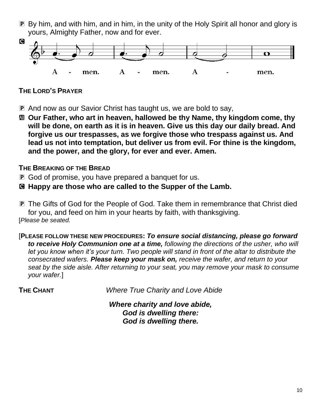P By him, and with him, and in him, in the unity of the Holy Spirit all honor and glory is yours, Almighty Father, now and for ever.



## **THE LORD'S PRAYER**

- P And now as our Savior Christ has taught us, we are bold to say,
- $\text{I}$  **Our Father, who art in heaven, hallowed be thy Name, thy kingdom come, thy will be done, on earth as it is in heaven. Give us this day our daily bread. And forgive us our trespasses, as we forgive those who trespass against us. And lead us not into temptation, but deliver us from evil. For thine is the kingdom, and the power, and the glory, for ever and ever. Amen.**

## **THE BREAKING OF THE BREAD**

- P God of promise, you have prepared a banquet for us.
- C **Happy are those who are called to the Supper of the Lamb.**
- P The Gifts of God for the People of God. Take them in remembrance that Christ died for you, and feed on him in your hearts by faith, with thanksgiving. [*Please be seated.*
- [**PLEASE FOLLOW THESE NEW PROCEDURES:** *To ensure social distancing, please go forward to receive Holy Communion one at a time, following the directions of the usher, who will let you know when it's your turn. Two people will stand in front of the altar to distribute the consecrated wafers. Please keep your mask on, receive the wafer, and return to your seat by the side aisle. After returning to your seat, you may remove your mask to consume your wafer.*]

**THE CHANT** *Where True Charity and Love Abide*

*Where charity and love abide, God is dwelling there: God is dwelling there.*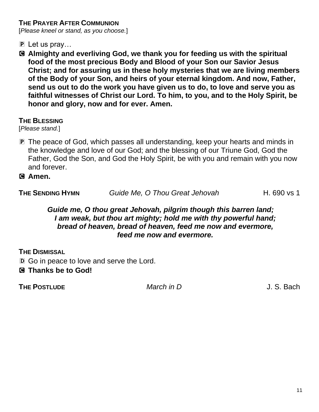#### **THE PRAYER AFTER COMMUNION**

[*Please kneel or stand, as you choose.*]

- $\mathbf{P}$  Let us pray...
- C **Almighty and everliving God, we thank you for feeding us with the spiritual food of the most precious Body and Blood of your Son our Savior Jesus Christ; and for assuring us in these holy mysteries that we are living members of the Body of your Son, and heirs of your eternal kingdom. And now, Father, send us out to do the work you have given us to do, to love and serve you as faithful witnesses of Christ our Lord. To him, to you, and to the Holy Spirit, be honor and glory, now and for ever. Amen.**

#### **THE BLESSING**

[*Please stand.*]

P The peace of God, which passes all understanding, keep your hearts and minds in the knowledge and love of our God; and the blessing of our Triune God, God the Father, God the Son, and God the Holy Spirit, be with you and remain with you now and forever.

C **Amen.**

**THE SENDING HYMN Guide Me, O Thou Great Jehovah H. 690 vs 1** 

#### *Guide me, O thou great Jehovah, pilgrim though this barren land; I am weak, but thou art mighty; hold me with thy powerful hand; bread of heaven, bread of heaven, feed me now and evermore, feed me now and evermore.*

#### **THE DISMISSAL**

D Go in peace to love and serve the Lord.

#### C **Thanks be to God!**

**THE POSTLUDE** *March in D* J. S. Bach